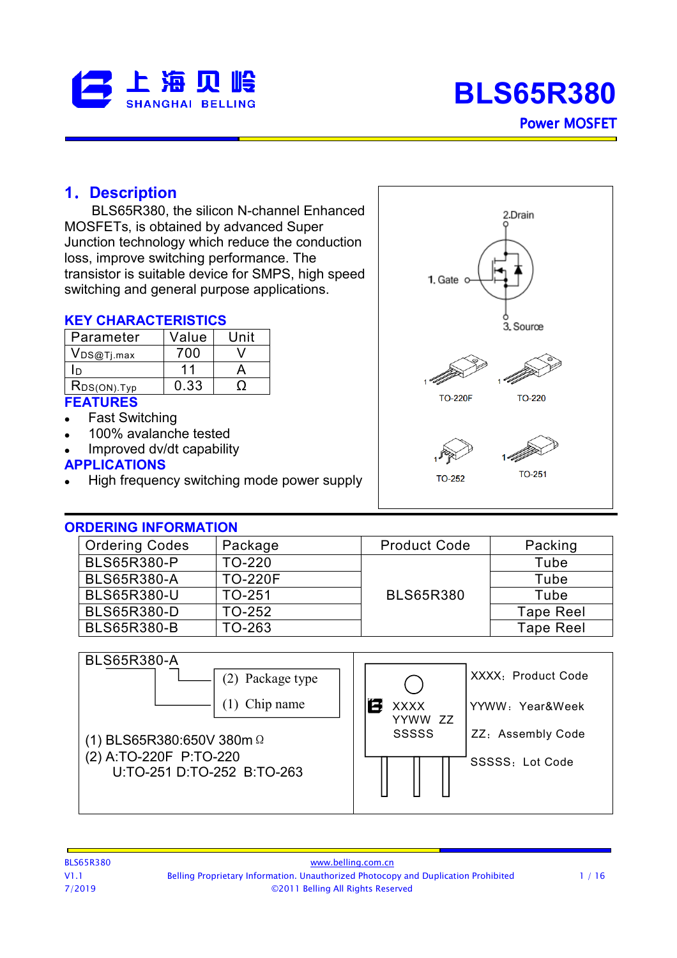

### **1**.**Description**

BLS65R380, the silicon N-channel Enhanced MOSFETs, is obtained by advanced Super Junction technology which reduce the conduction loss, improve switching performance. The transistor is suitable device for SMPS, high speed switching and general purpose applications.

#### **KEY CHARACTERISTICS**

| Parameter       | Value | Unit |
|-----------------|-------|------|
| VDS@TJ.max      | 700   |      |
| חו              | 11    |      |
| $RDS(ON)$ . Typ | 0 33  |      |

#### **FEATURES**

- Fast Switching
- 100% avalanche tested
- Improved dv/dt capability

#### **APPLICATIONS**

High frequency switching mode power supply



#### **ORDERING INFORMATION**

| <b>Ordering Codes</b> | Package        | <b>Product Code</b> | Packing          |  |  |  |  |
|-----------------------|----------------|---------------------|------------------|--|--|--|--|
| <b>BLS65R380-P</b>    | TO-220         |                     | Tube             |  |  |  |  |
| <b>BLS65R380-A</b>    | <b>TO-220F</b> |                     | Tube             |  |  |  |  |
| <b>BLS65R380-U</b>    | TO-251         | <b>BLS65R380</b>    | Tube             |  |  |  |  |
| <b>BLS65R380-D</b>    | TO-252         |                     | <b>Tape Reel</b> |  |  |  |  |
| <b>BLS65R380-B</b>    | TO-263         |                     | <b>Tape Reel</b> |  |  |  |  |

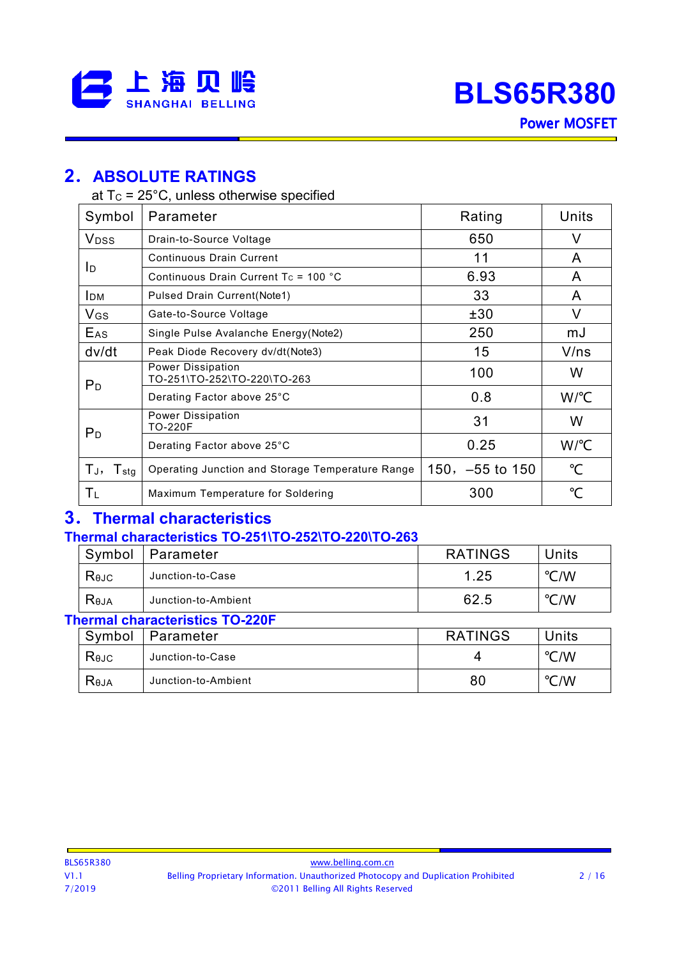

### **2**.**ABSOLUTE RATINGS**

| at $T_c$ = 25°C, unless otherwise specified |  |  |
|---------------------------------------------|--|--|
|                                             |  |  |

| Symbol                  | Parameter                                        | Rating              | Units           |
|-------------------------|--------------------------------------------------|---------------------|-----------------|
| <b>V</b> <sub>DSS</sub> | Drain-to-Source Voltage                          | 650                 | V               |
|                         | <b>Continuous Drain Current</b>                  | 11                  | A               |
| ID.                     | Continuous Drain Current $T_c = 100 °C$          | 6.93                | A               |
| <b>IDM</b>              | Pulsed Drain Current(Note1)                      | 33                  | A               |
| V <sub>GS</sub>         | Gate-to-Source Voltage                           | ±30                 | V               |
| E <sub>AS</sub>         | Single Pulse Avalanche Energy (Note2)            | 250                 | mJ              |
| dv/dt                   | Peak Diode Recovery dv/dt(Note3)                 | 15                  | V/ns            |
| P <sub>D</sub>          | Power Dissipation<br>TO-251\TO-252\TO-220\TO-263 | 100                 | W               |
|                         | Derating Factor above 25°C                       | 0.8                 | $W$ /°C         |
| P <sub>D</sub>          | Power Dissipation<br><b>TO-220F</b>              | 31                  | W               |
|                         | Derating Factor above 25°C                       | 0.25                | $W$ /°C         |
| $T_{\rm stg}$<br>Tj,    | Operating Junction and Storage Temperature Range | $150, -55$ to $150$ | $\rm ^{\circ}C$ |
| Tτ                      | Maximum Temperature for Soldering                | 300                 | °C              |

### **3**.**Thermal characteristics**

#### **Thermal characteristics TO-251\TO-252\TO-220\TO-263**

| Symbol         | Parameter           | <b>RATINGS</b> | <b>Jnits</b> |
|----------------|---------------------|----------------|--------------|
| $R_{\theta$ JC | Junction-to-Case    | .25            | °C/W         |
| Reja           | Junction-to-Ambient | 62.5           | °C/W         |

### **Thermal characteristics TO-220F**

| Symbol | Parameter           | <b>RATINGS</b> | Units |
|--------|---------------------|----------------|-------|
| Rejc   | Junction-to-Case    |                | °C/W  |
| Reja   | Junction-to-Ambient | 80             | °C/W  |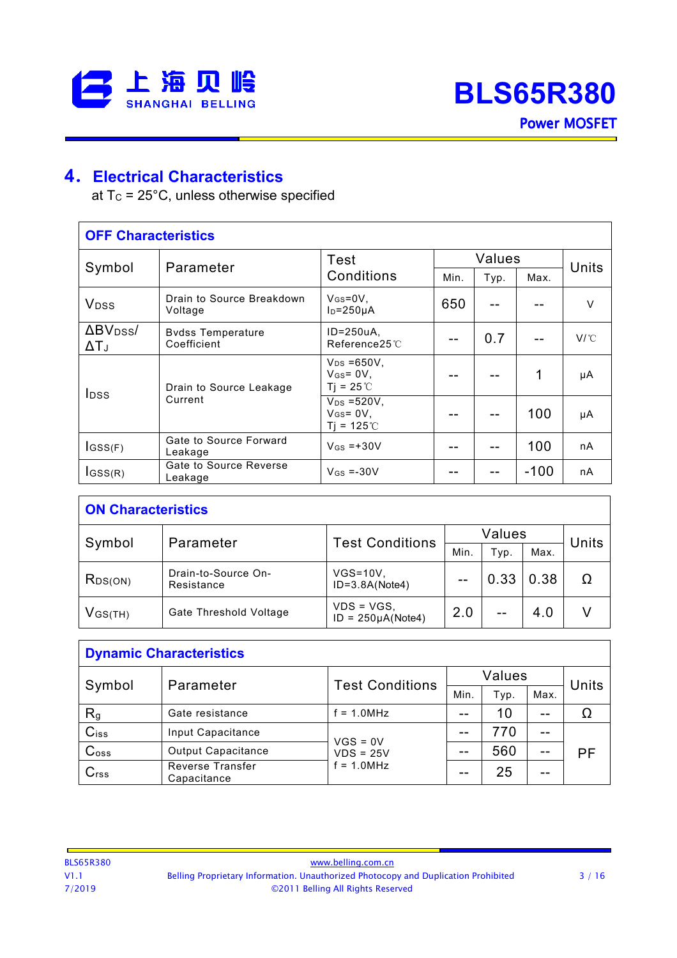

### **4**.**Electrical Characteristics**

at  $T_c = 25^{\circ}$ C, unless otherwise specified

| <b>OFF Characteristics</b>                   |                                         |                                                                         |      |        |        |              |
|----------------------------------------------|-----------------------------------------|-------------------------------------------------------------------------|------|--------|--------|--------------|
|                                              | Parameter                               | Test                                                                    |      | Values |        | Units        |
| Symbol                                       |                                         | Conditions                                                              | Min. | Typ.   | Max.   |              |
| <b>V</b> <sub>DSS</sub>                      | Drain to Source Breakdown<br>Voltage    | $V_{GS} = 0V$ .<br>$I_D = 250 \mu A$                                    | 650  |        |        | V            |
| $\Delta$ BV <sub>DSS</sub> /<br>$\Delta T_J$ | <b>Bvdss Temperature</b><br>Coefficient | $ID = 250uA$<br>Reference25 <sup>°</sup> C                              |      | 0.7    |        | $V^{\circ}C$ |
| <b>I</b> pss                                 | Drain to Source Leakage<br>Current      | $V_{DS} = 650V$ ,<br>$V$ <sub>GS</sub> = $0V$ ,<br>$Ti = 25^{\circ}$    |      |        | 1      | μA           |
|                                              |                                         | $V_{DS} = 520V$ ,<br>$V$ <sub>GS</sub> = $0V$ ,<br>Ti = 125 $\degree$ C |      |        | 100    | μA           |
| $I$ <sub>GSS(F)</sub>                        | Gate to Source Forward<br>Leakage       | $V$ <sub>GS</sub> $=+30V$                                               |      |        | 100    | nA           |
| IGSS(R)                                      | Gate to Source Reverse<br>Leakage       | $V$ <sub>GS</sub> =-30V                                                 |      |        | $-100$ | nА           |

| <b>ON Characteristics</b> |                                   |                                       |        |      |      |       |
|---------------------------|-----------------------------------|---------------------------------------|--------|------|------|-------|
|                           |                                   |                                       | Values |      |      |       |
| Symbol                    | Parameter                         | <b>Test Conditions</b>                | Min.   | Typ. | Max. | Units |
| $R_{DS(ON)}$              | Drain-to-Source On-<br>Resistance | $VGS=10V$ ,<br>$ID = 3.8A(Note4)$     | --     | 0.33 | 0.38 |       |
| $V$ GS(TH)                | Gate Threshold Voltage            | $VDS = VGS$<br>$ID = 250\mu A(Note4)$ | 2.0    | --   | 4.0  |       |

| <b>Dynamic Characteristics</b> |                                               |                                            |        |      |       |       |
|--------------------------------|-----------------------------------------------|--------------------------------------------|--------|------|-------|-------|
|                                | <b>Test Conditions</b><br>Symbol<br>Parameter |                                            | Values |      |       | Units |
|                                |                                               | Min.                                       | Typ.   | Max. |       |       |
| $R_g$                          | Gate resistance                               | $f = 1.0 MHz$                              |        | 10   | $-$   |       |
| $C$ <sub>iss</sub>             | Input Capacitance                             | $VGS = 0V$<br>$VDS = 25V$<br>$f = 1.0 MHz$ |        | 770  | --    |       |
| C <sub>oss</sub>               | <b>Output Capacitance</b>                     |                                            |        | 560  | $- -$ | PF    |
| C <sub>rss</sub>               | <b>Reverse Transfer</b><br>Capacitance        |                                            | --     | 25   | --    |       |

| <b>BLS65R380</b> |  |
|------------------|--|
| V1.1             |  |
| 7/2019           |  |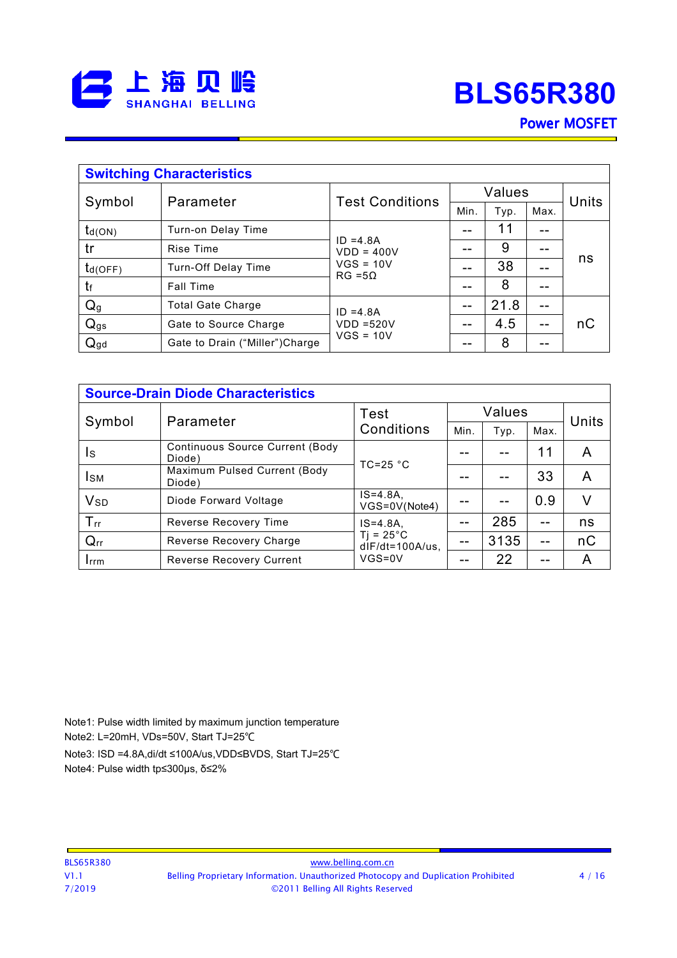

# **BLS65R380**

**Power MOSFET** 

| <b>Switching Characteristics</b> |                                |                                                         |        |      |       |       |  |
|----------------------------------|--------------------------------|---------------------------------------------------------|--------|------|-------|-------|--|
| Symbol                           | Parameter                      | <b>Test Conditions</b>                                  | Values |      |       |       |  |
|                                  |                                |                                                         | Min.   | Typ. | Max.  | Units |  |
| $t_{d(ON)}$                      | Turn-on Delay Time             | $ID = 4.8A$<br>$VDD = 400V$<br>$VGS = 10V$<br>$RG = 5Q$ | --     | 11   | --    |       |  |
| tr                               | Rise Time                      |                                                         | --     | 9    | --    |       |  |
| $t_{d(OFF)}$                     | Turn-Off Delay Time            |                                                         | --     | 38   | --    | ns    |  |
| t                                | <b>Fall Time</b>               |                                                         | --     | 8    | --    |       |  |
| $Q_g$                            | <b>Total Gate Charge</b>       | $ID = 4.8A$<br>$VDD = 520V$                             | --     | 21.8 | --    |       |  |
| $Q_{gs}$                         | Gate to Source Charge          |                                                         | --     | 4.5  | $- -$ | nC    |  |
| $Q_{gd}$                         | Gate to Drain ("Miller")Charge | $VGS = 10V$                                             | --     | 8    | --    |       |  |

| <b>Source-Drain Diode Characteristics</b> |                                                  |                                 |        |      |      |       |
|-------------------------------------------|--------------------------------------------------|---------------------------------|--------|------|------|-------|
| Symbol                                    | Parameter                                        | Test                            | Values |      |      | Units |
|                                           |                                                  | Conditions                      | Min.   | Typ. | Max. |       |
| Is                                        | <b>Continuous Source Current (Body</b><br>Diode) | $TC=25 °C$                      |        |      | 11   | Α     |
| Isм                                       | Maximum Pulsed Current (Body<br>Diode)           |                                 |        |      | 33   | A     |
| V <sub>SD</sub>                           | Diode Forward Voltage                            | $IS = 4.8A,$<br>VGS=0V(Note4)   |        |      | 0.9  | V     |
| $T_{rr}$                                  | Reverse Recovery Time                            | $IS = 4.8A$ .                   |        | 285  | --   | ns    |
| $Q_{rr}$                                  | Reverse Recovery Charge                          | Ti = 25°C<br>$d$ IF/dt=100A/us, | --     | 3135 | --   | nC    |
| <b>I</b> rrm                              | <b>Reverse Recovery Current</b>                  | $VGS=0V$                        |        | 22   | --   | Α     |

Note1: Pulse width limited by maximum junction temperature

Note2: L=20mH, VDs=50V, Start TJ=25℃

Note3: ISD =4.8A,di/dt ≤100A/us,VDD≤BVDS, Start TJ=25℃

Note4: Pulse width tp≤300µs, δ≤2%

Е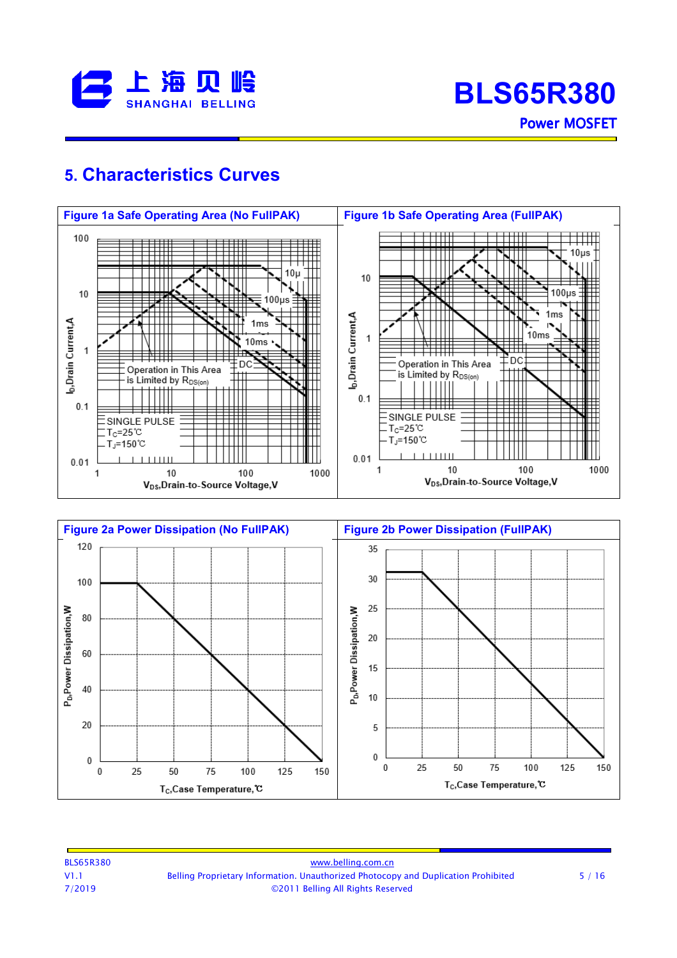

### **5. Characteristics Curves**





| <b>BLS65R380</b> | www.belling.com.cn                                                                 |      |
|------------------|------------------------------------------------------------------------------------|------|
| V1.1             | Belling Proprietary Information. Unauthorized Photocopy and Duplication Prohibited | 5/16 |
| 7/2019           | ©2011 Belling All Rights Reserved                                                  |      |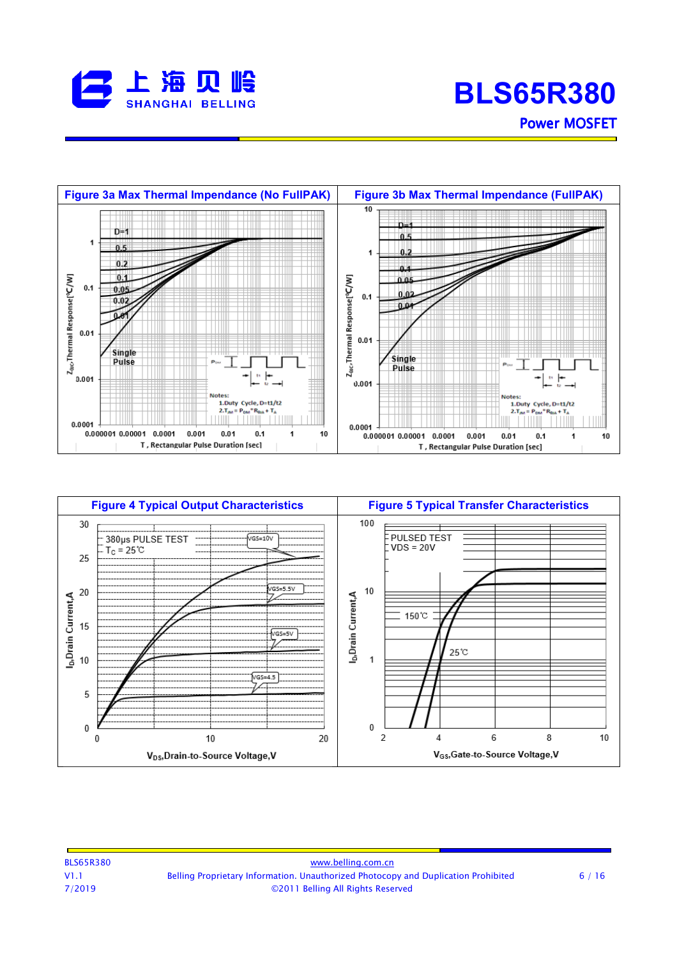





| <b>BLS65R380</b> | www.belling.com.cn                                                                 |      |
|------------------|------------------------------------------------------------------------------------|------|
| V1.1             | Belling Proprietary Information. Unauthorized Photocopy and Duplication Prohibited | 6/16 |
| 7/2019           | ©2011 Belling All Rights Reserved                                                  |      |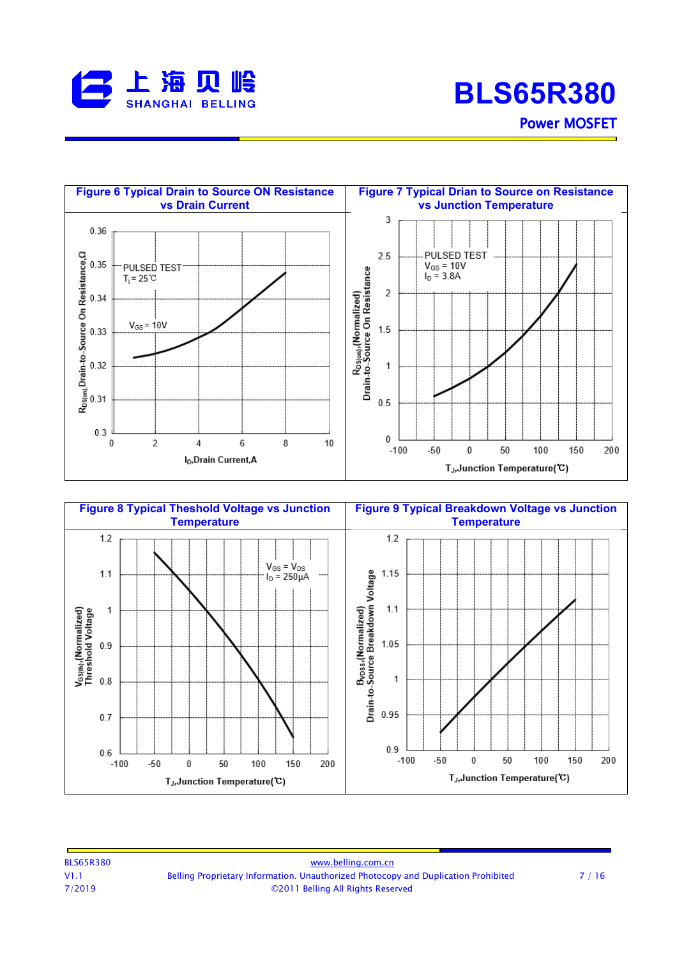





| <b>BLS65R380</b> | www.belling.com.cn                                                                 |      |
|------------------|------------------------------------------------------------------------------------|------|
| VI.1             | Belling Proprietary Information. Unauthorized Photocopy and Duplication Prohibited | 7/16 |
| 7/2019           | ©2011 Belling All Rights Reserved                                                  |      |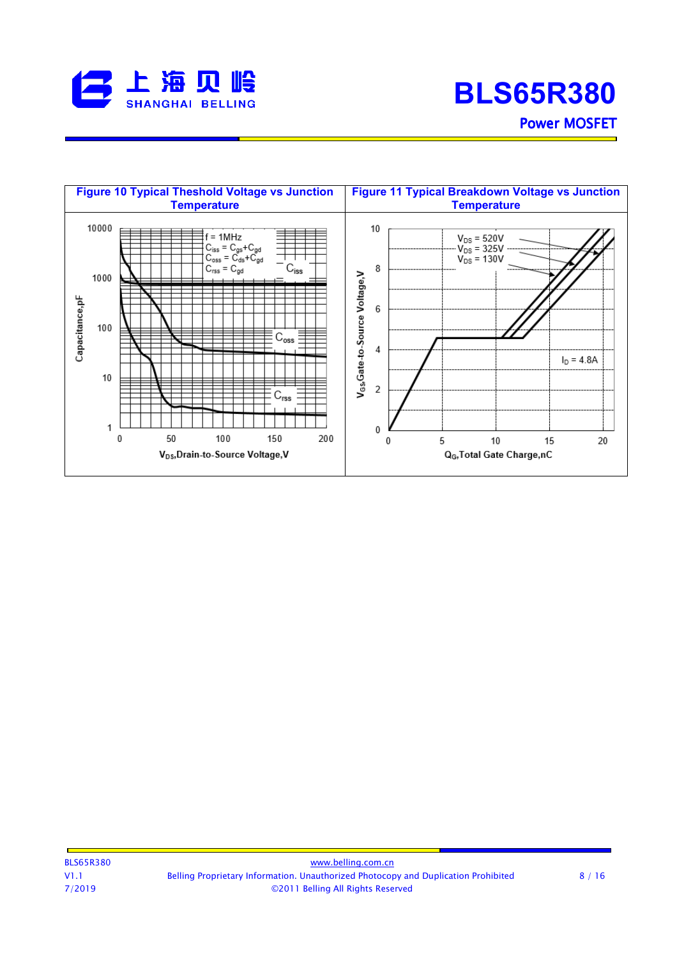



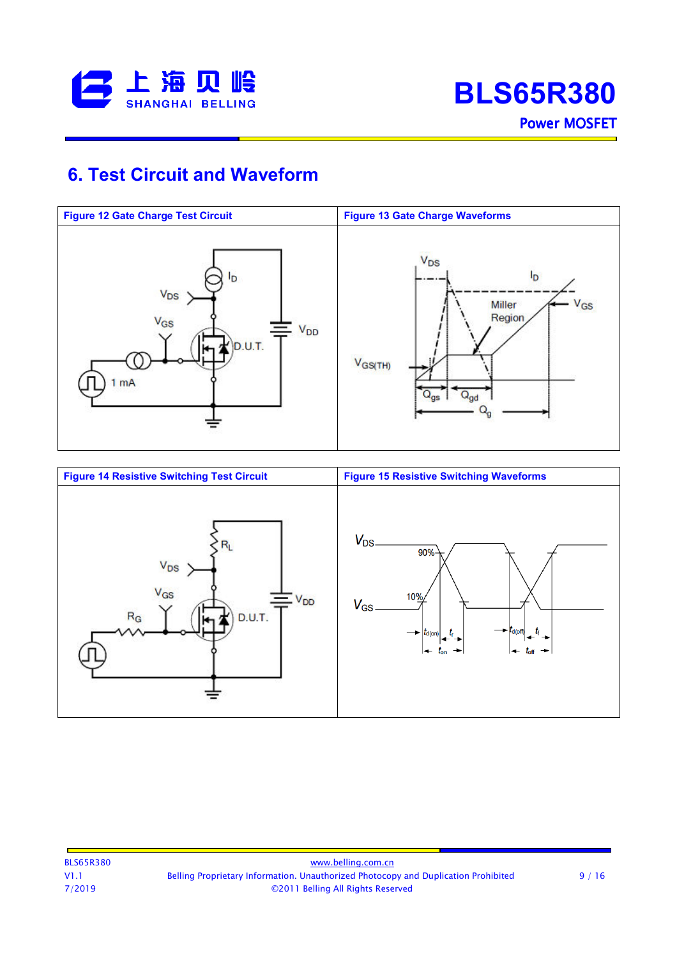

### **6. Test Circuit and Waveform**



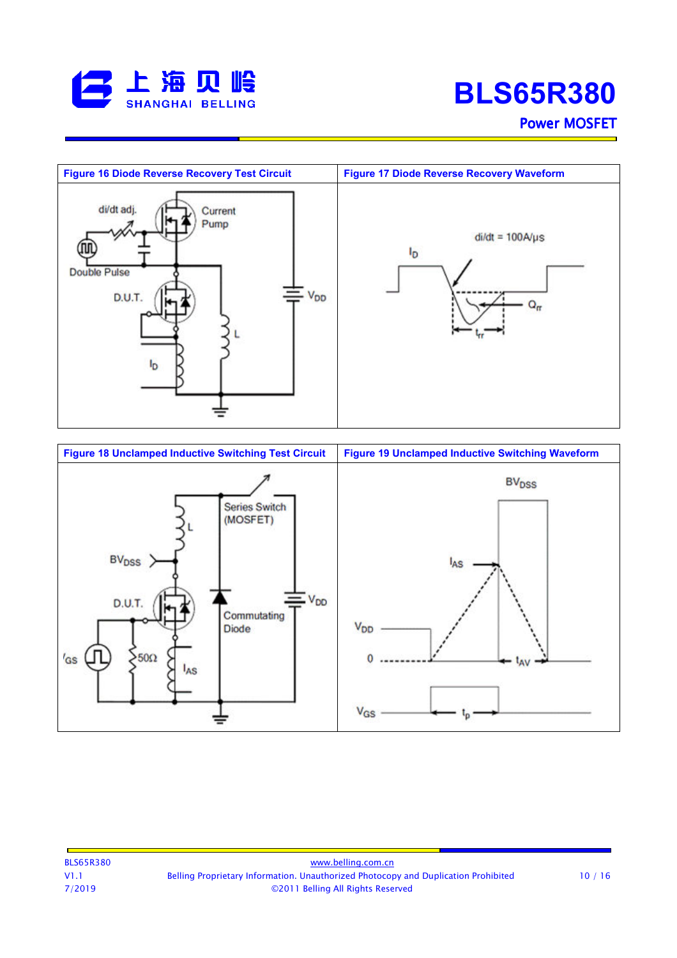

# **BLS65R380**

### **Power MOSFET**



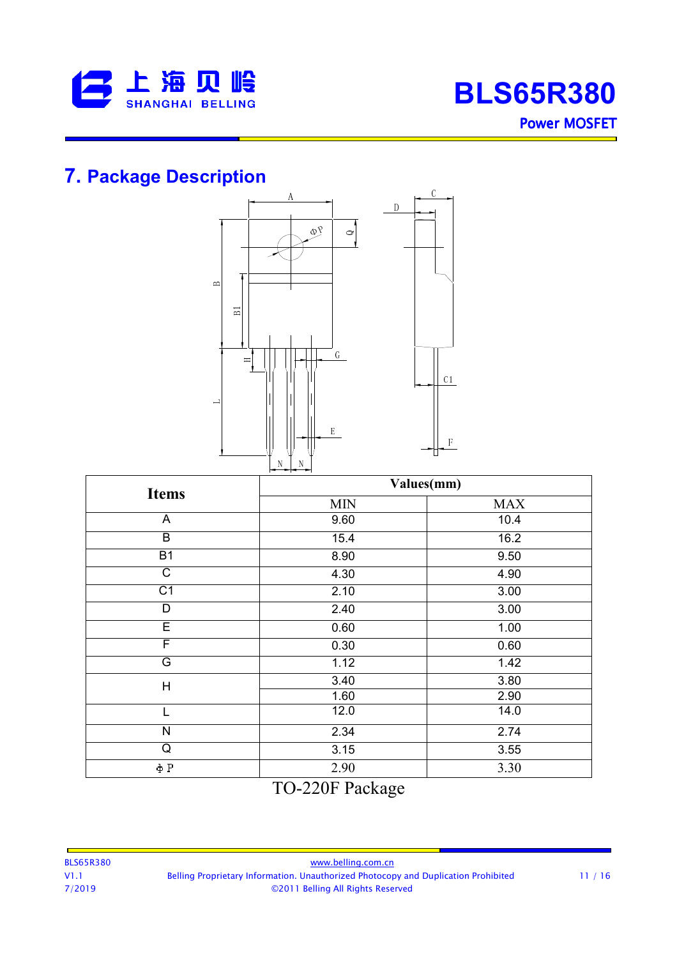

### **7. Package Description**



| <b>Items</b>          | <b>The Contract Contract of the Contract Contract</b> | Values(mm) |
|-----------------------|-------------------------------------------------------|------------|
|                       | <b>MIN</b>                                            | <b>MAX</b> |
| A                     | 9.60                                                  | 10.4       |
| B                     | 15.4                                                  | 16.2       |
| B1                    | 8.90                                                  | 9.50       |
| $\overline{\text{c}}$ | 4.30                                                  | 4.90       |
| C <sub>1</sub>        | 2.10                                                  | 3.00       |
| D                     | 2.40                                                  | 3.00       |
| Ε                     | 0.60                                                  | 1.00       |
| $\overline{F}$        | 0.30                                                  | 0.60       |
| G                     | 1.12                                                  | 1.42       |
| H                     | 3.40                                                  | 3.80       |
|                       | 1.60                                                  | 2.90       |
|                       | 12.0                                                  | 14.0       |
| N                     | 2.34                                                  | 2.74       |
| Q                     | 3.15                                                  | 3.55       |
| фΡ                    | 2.90                                                  | 3.30       |

### TO-220F Package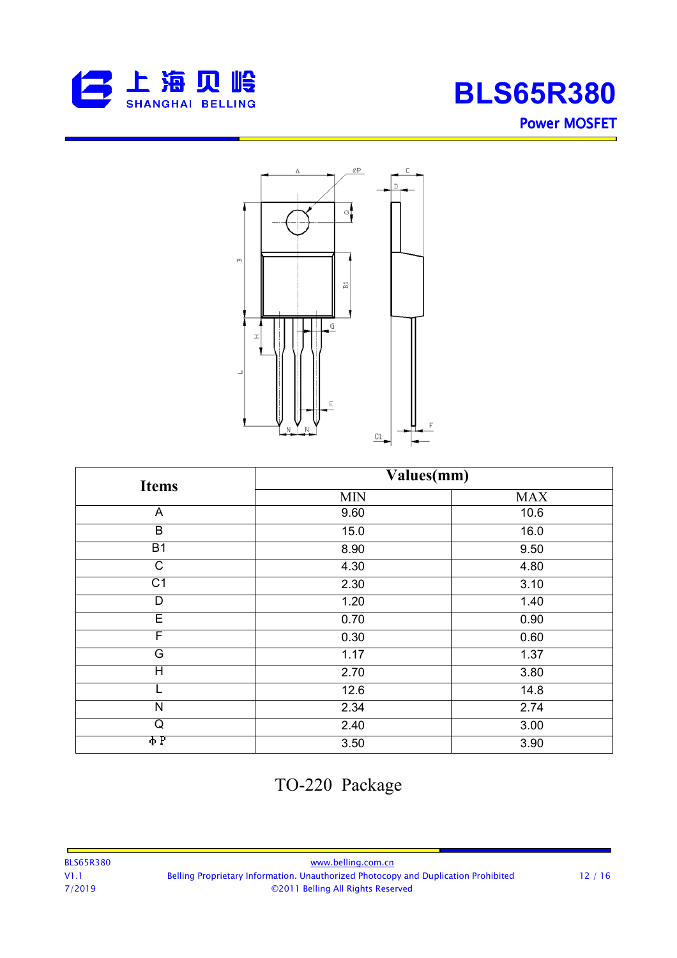





| <b>Items</b>            | Values(mm) |            |
|-------------------------|------------|------------|
|                         | <b>MIN</b> | <b>MAX</b> |
| A                       | 9.60       | 10.6       |
| $\overline{\mathsf{B}}$ | 15.0       | 16.0       |
| $\overline{B1}$         | 8.90       | 9.50       |
| $\overline{\text{C}}$   | 4.30       | 4.80       |
| $\overline{C1}$         | 2.30       | 3.10       |
| D                       | 1.20       | 1.40       |
| $\overline{E}$          | 0.70       | 0.90       |
| F                       | 0.30       | 0.60       |
| G                       | 1.17       | 1.37       |
| Ξ                       | 2.70       | 3.80       |
|                         | 12.6       | 14.8       |
| N                       | 2.34       | 2.74       |
| Q                       | 2.40       | 3.00       |
| фΡ                      | 3.50       | 3.90       |

### TO-220 Package

 $\blacksquare$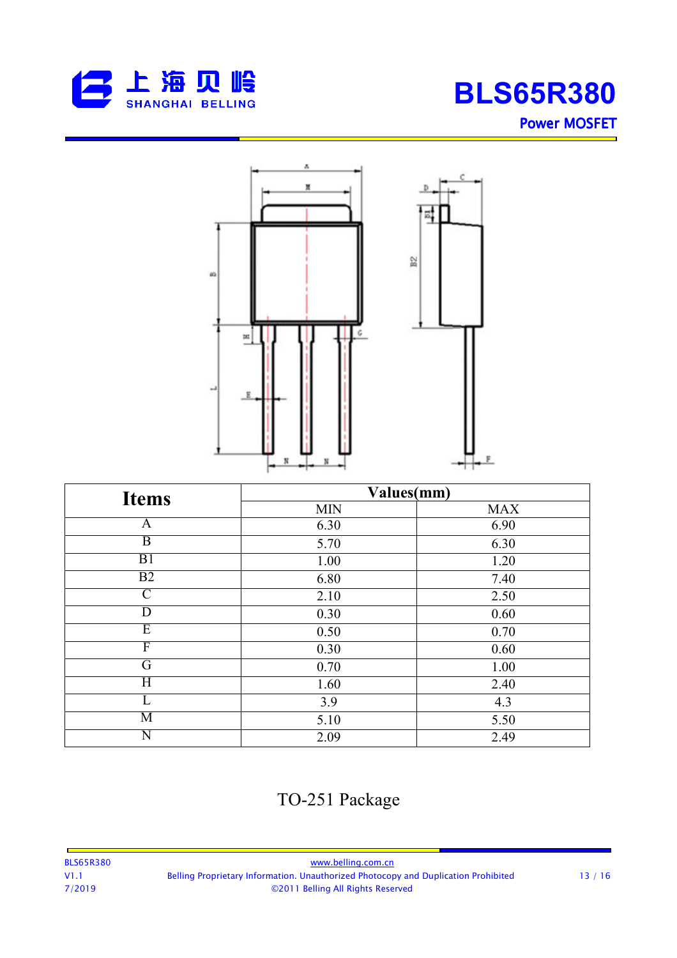





| <b>Items</b>            | Values(mm) |            |
|-------------------------|------------|------------|
|                         | <b>MIN</b> | <b>MAX</b> |
| $\mathbf{A}$            | 6.30       | 6.90       |
| $\overline{B}$          | 5.70       | 6.30       |
| B1                      | 1.00       | 1.20       |
| B2                      | 6.80       | 7.40       |
| $\overline{C}$          | 2.10       | 2.50       |
| D                       | 0.30       | 0.60       |
| $\overline{E}$          | 0.50       | 0.70       |
| F                       | 0.30       | 0.60       |
| G                       | 0.70       | 1.00       |
| $\overline{\mathrm{H}}$ | 1.60       | 2.40       |
|                         | 3.9        | 4.3        |
| M                       | 5.10       | 5.50       |
| N                       | 2.09       | 2.49       |

### TO-251 Package

Е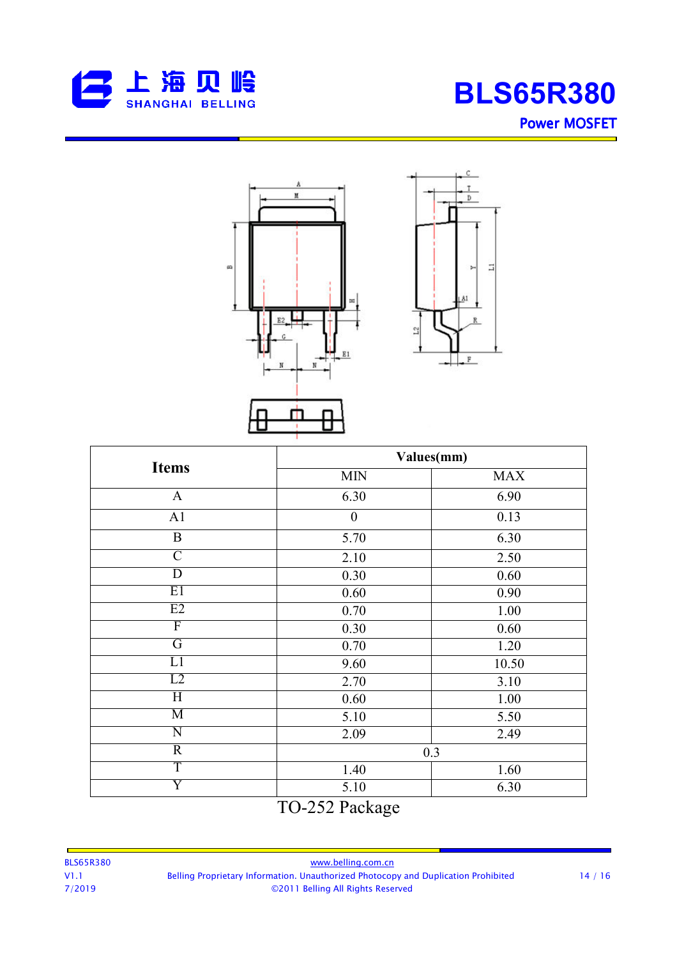

![](_page_13_Figure_2.jpeg)

![](_page_13_Figure_3.jpeg)

|                         |                  | Values(mm) |
|-------------------------|------------------|------------|
| <b>Items</b>            | <b>MIN</b>       | <b>MAX</b> |
| $\mathbf{A}$            | 6.30             | 6.90       |
| A1                      | $\boldsymbol{0}$ | 0.13       |
| $\overline{B}$          | 5.70             | 6.30       |
| $\overline{C}$          | 2.10             | 2.50       |
| $\overline{D}$          | 0.30             | 0.60       |
| E1                      | 0.60             | 0.90       |
| E2                      | 0.70             | 1.00       |
| F                       | 0.30             | 0.60       |
| G                       | 0.70             | 1.20       |
| L1                      | 9.60             | 10.50      |
| L2                      | 2.70             | 3.10       |
| $\overline{\rm H}$      | 0.60             | 1.00       |
| $\overline{\mathbf{M}}$ | 5.10             | 5.50       |
| N                       | 2.09             | 2.49       |
| $\overline{R}$          |                  | 0.3        |
| T                       | 1.40             | 1.60       |
|                         | 5.10             | 6.30       |

### TO-252 Package

 $\blacksquare$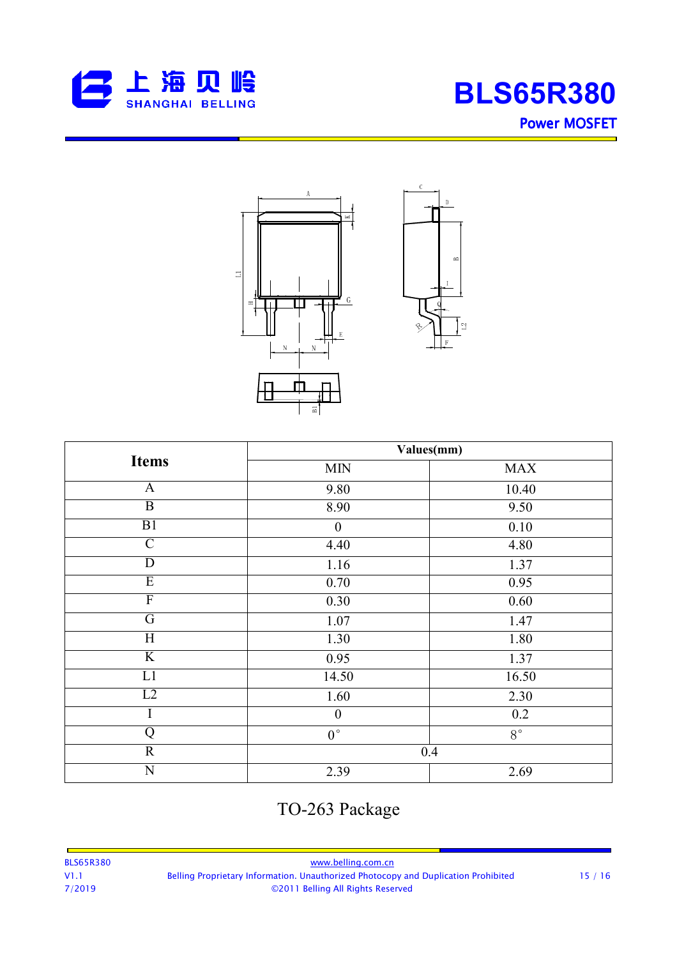![](_page_14_Picture_0.jpeg)

 $\overline{\phantom{a}}$ 

# **BLS65R380 Power MOSFET**

![](_page_14_Figure_2.jpeg)

| <b>Items</b>    |                  | Values(mm)  |
|-----------------|------------------|-------------|
|                 | MIN              | <b>MAX</b>  |
| $\mathbf{A}$    | 9.80             | 10.40       |
| $\overline{B}$  | 8.90             | 9.50        |
| B1              | $\boldsymbol{0}$ | 0.10        |
| $\overline{C}$  | 4.40             | 4.80        |
| D               | 1.16             | 1.37        |
| $\overline{E}$  | 0.70             | 0.95        |
| $\overline{F}$  | 0.30             | 0.60        |
| $\overline{G}$  | 1.07             | 1.47        |
| $\overline{H}$  | 1.30             | 1.80        |
| $\overline{K}$  | 0.95             | 1.37        |
| $\overline{L1}$ | 14.50            | 16.50       |
| L2              | 1.60             | 2.30        |
|                 | $\boldsymbol{0}$ | 0.2         |
| Q               | $0^{\,\circ}$    | $8^{\circ}$ |
| $\overline{R}$  |                  | 0.4         |
| $\overline{N}$  | 2.39             | 2.69        |

### TO-263 Package

| <b>BLS65R380</b> | www.belling.com.cn                                                                 |       |
|------------------|------------------------------------------------------------------------------------|-------|
| V1.1             | Belling Proprietary Information. Unauthorized Photocopy and Duplication Prohibited | 15/16 |
| 7/2019           | ©2011 Belling All Rights Reserved                                                  |       |
|                  |                                                                                    |       |